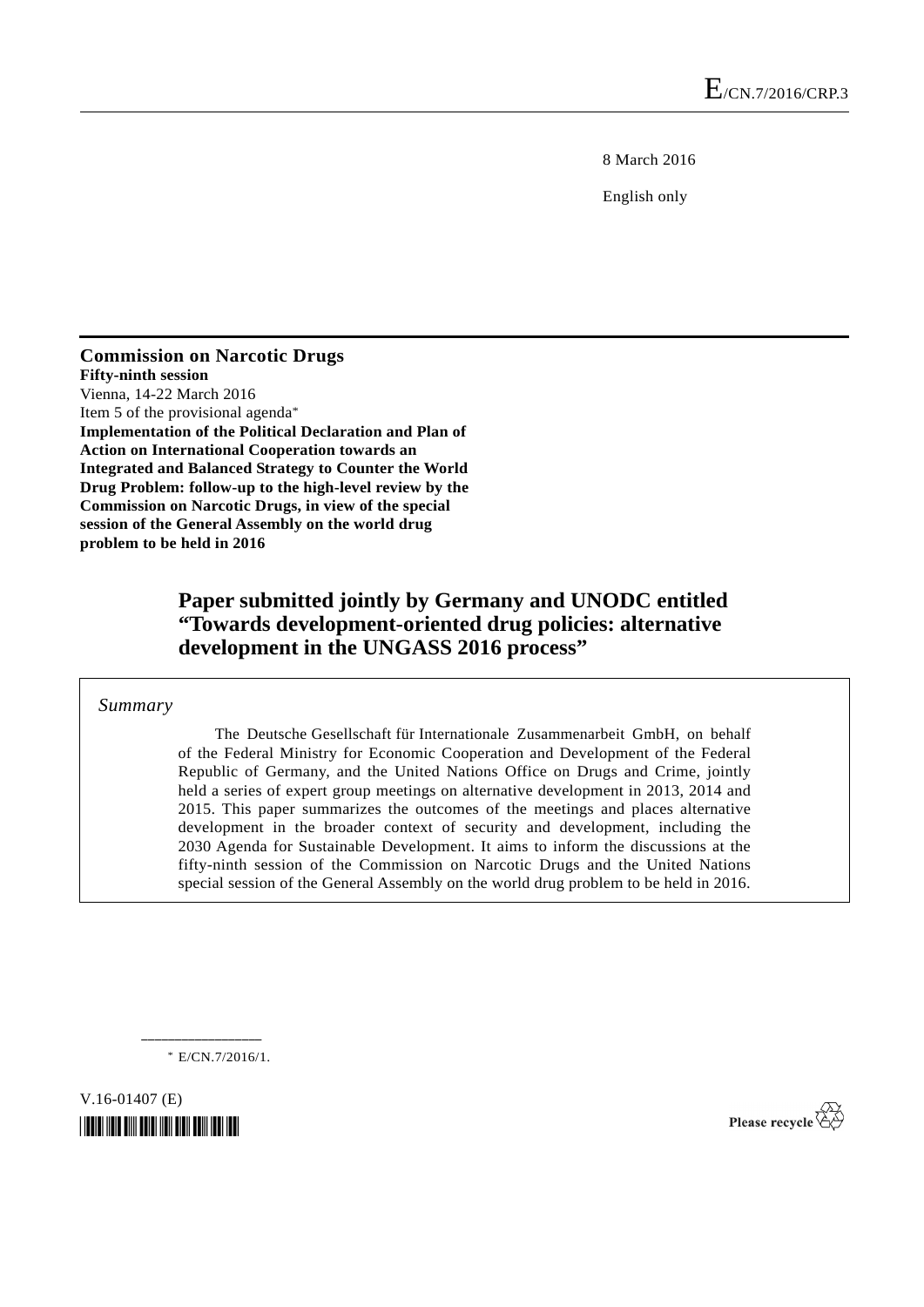8 March 2016

English only

**Commission on Narcotic Drugs Fifty-ninth session**  Vienna, 14-22 March 2016 Item 5 of the provisional agenda\* **Implementation of the Political Declaration and Plan of Action on International Cooperation towards an Integrated and Balanced Strategy to Counter the World Drug Problem: follow-up to the high-level review by the Commission on Narcotic Drugs, in view of the special session of the General Assembly on the world drug problem to be held in 2016**

# **Paper submitted jointly by Germany and UNODC entitled "Towards development-oriented drug policies: alternative development in the UNGASS 2016 process"**

 *Summary* 

The Deutsche Gesellschaft für Internationale Zusammenarbeit GmbH, on behalf of the Federal Ministry for Economic Cooperation and Development of the Federal Republic of Germany, and the United Nations Office on Drugs and Crime, jointly held a series of expert group meetings on alternative development in 2013, 2014 and 2015. This paper summarizes the outcomes of the meetings and places alternative development in the broader context of security and development, including the 2030 Agenda for Sustainable Development. It aims to inform the discussions at the fifty-ninth session of the Commission on Narcotic Drugs and the United Nations special session of the General Assembly on the world drug problem to be held in 2016.

\* E/CN.7/2016/1.

**\_\_\_\_\_\_\_\_\_\_\_\_\_\_\_\_\_\_** 

V.16-01407 (E) *\*1601407\** 

Please recycle  $\overleftrightarrow{C}$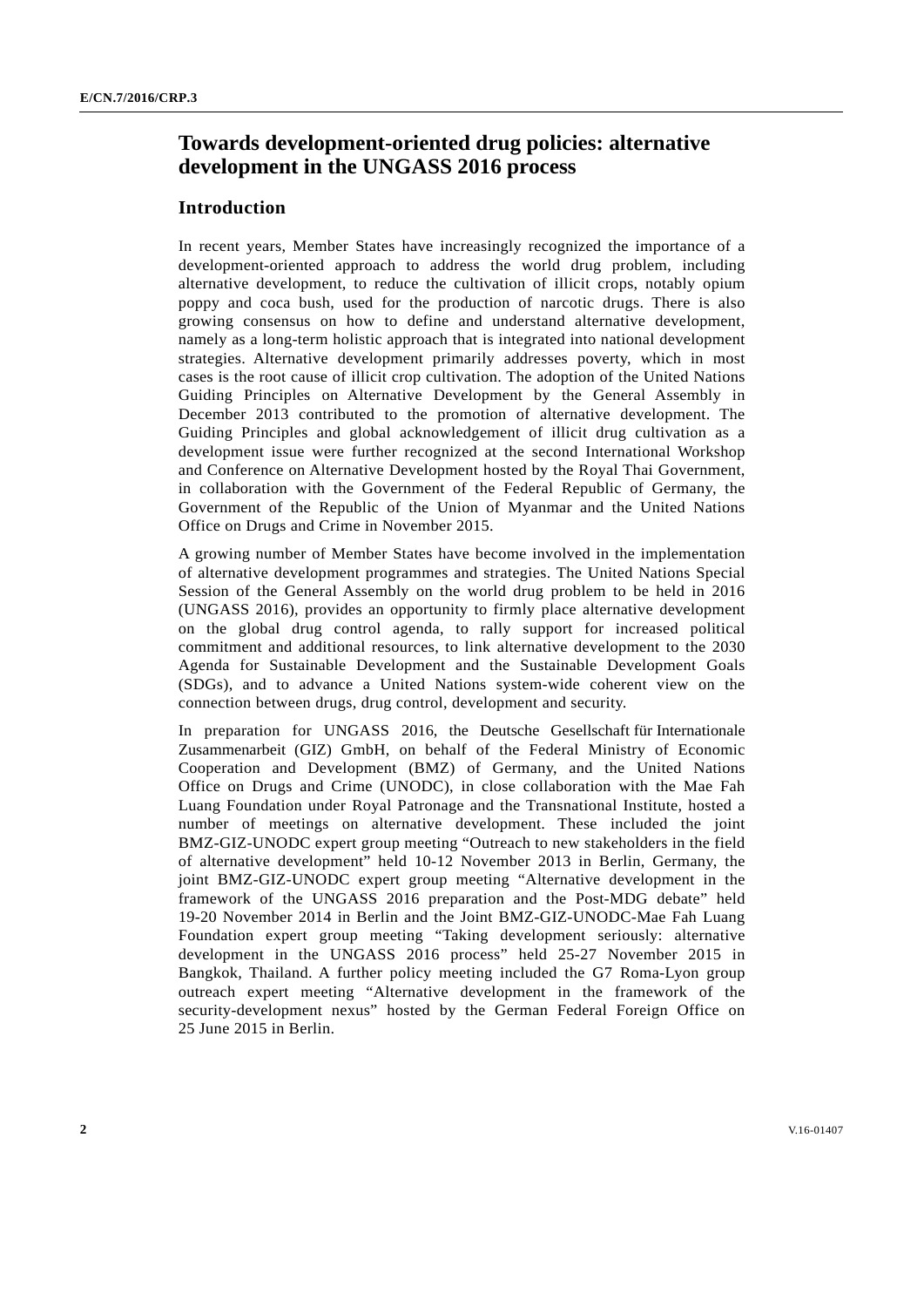# **Towards development-oriented drug policies: alternative development in the UNGASS 2016 process**

# **Introduction**

In recent years, Member States have increasingly recognized the importance of a development-oriented approach to address the world drug problem, including alternative development, to reduce the cultivation of illicit crops, notably opium poppy and coca bush, used for the production of narcotic drugs. There is also growing consensus on how to define and understand alternative development, namely as a long-term holistic approach that is integrated into national development strategies. Alternative development primarily addresses poverty, which in most cases is the root cause of illicit crop cultivation. The adoption of the United Nations Guiding Principles on Alternative Development by the General Assembly in December 2013 contributed to the promotion of alternative development. The Guiding Principles and global acknowledgement of illicit drug cultivation as a development issue were further recognized at the second International Workshop and Conference on Alternative Development hosted by the Royal Thai Government, in collaboration with the Government of the Federal Republic of Germany, the Government of the Republic of the Union of Myanmar and the United Nations Office on Drugs and Crime in November 2015.

A growing number of Member States have become involved in the implementation of alternative development programmes and strategies. The United Nations Special Session of the General Assembly on the world drug problem to be held in 2016 (UNGASS 2016), provides an opportunity to firmly place alternative development on the global drug control agenda, to rally support for increased political commitment and additional resources, to link alternative development to the 2030 Agenda for Sustainable Development and the Sustainable Development Goals (SDGs), and to advance a United Nations system-wide coherent view on the connection between drugs, drug control, development and security.

In preparation for UNGASS 2016, the Deutsche Gesellschaft für Internationale Zusammenarbeit (GIZ) GmbH, on behalf of the Federal Ministry of Economic Cooperation and Development (BMZ) of Germany, and the United Nations Office on Drugs and Crime (UNODC), in close collaboration with the Mae Fah Luang Foundation under Royal Patronage and the Transnational Institute, hosted a number of meetings on alternative development. These included the joint BMZ-GIZ-UNODC expert group meeting "Outreach to new stakeholders in the field of alternative development" held 10-12 November 2013 in Berlin, Germany, the joint BMZ-GIZ-UNODC expert group meeting "Alternative development in the framework of the UNGASS 2016 preparation and the Post-MDG debate" held 19-20 November 2014 in Berlin and the Joint BMZ-GIZ-UNODC-Mae Fah Luang Foundation expert group meeting "Taking development seriously: alternative development in the UNGASS 2016 process" held 25-27 November 2015 in Bangkok, Thailand. A further policy meeting included the G7 Roma-Lyon group outreach expert meeting "Alternative development in the framework of the security-development nexus" hosted by the German Federal Foreign Office on 25 June 2015 in Berlin.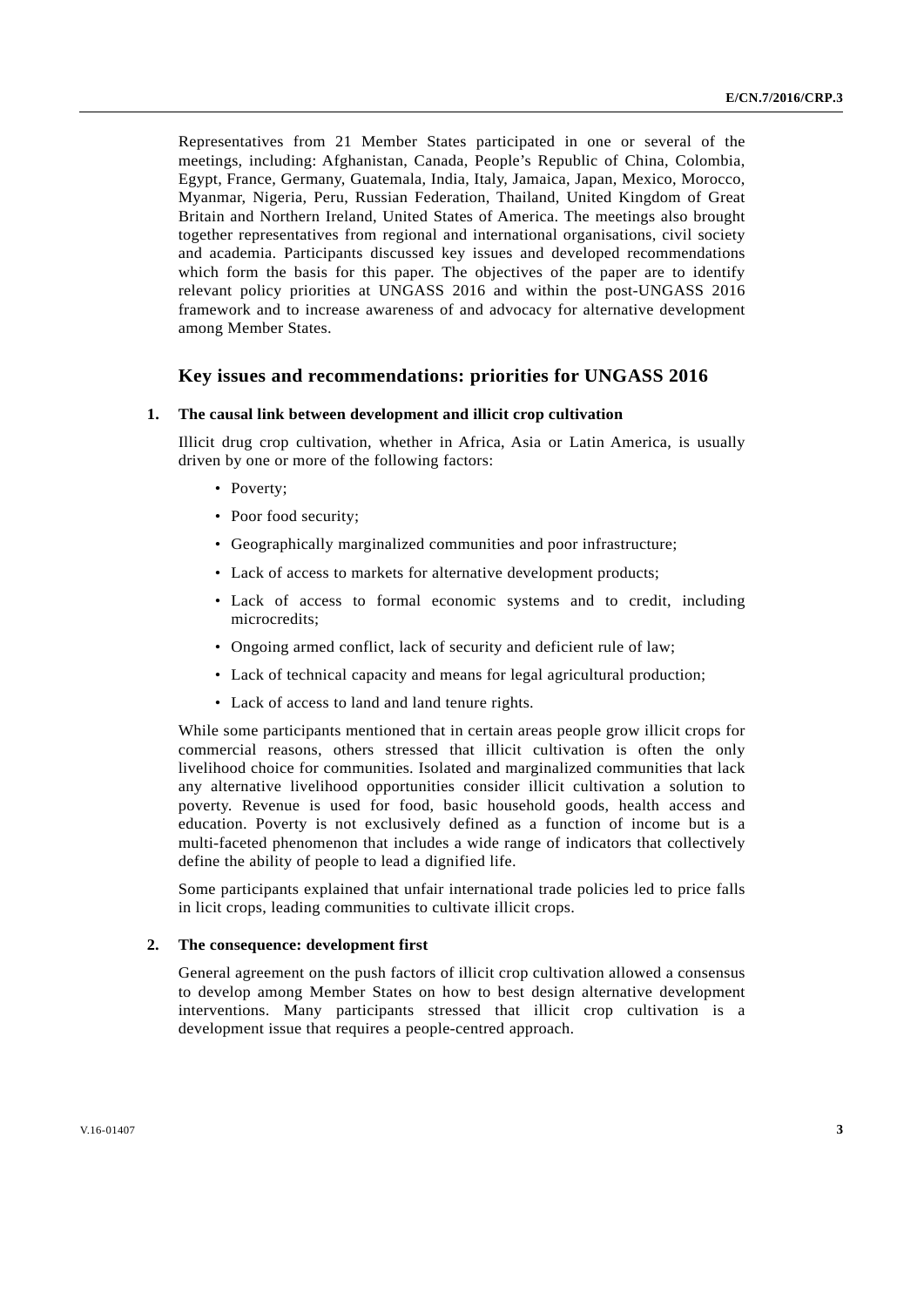Representatives from 21 Member States participated in one or several of the meetings, including: Afghanistan, Canada, People's Republic of China, Colombia, Egypt, France, Germany, Guatemala, India, Italy, Jamaica, Japan, Mexico, Morocco, Myanmar, Nigeria, Peru, Russian Federation, Thailand, United Kingdom of Great Britain and Northern Ireland, United States of America. The meetings also brought together representatives from regional and international organisations, civil society and academia. Participants discussed key issues and developed recommendations which form the basis for this paper. The objectives of the paper are to identify relevant policy priorities at UNGASS 2016 and within the post-UNGASS 2016 framework and to increase awareness of and advocacy for alternative development among Member States.

# **Key issues and recommendations: priorities for UNGASS 2016**

#### **1. The causal link between development and illicit crop cultivation**

Illicit drug crop cultivation, whether in Africa, Asia or Latin America, is usually driven by one or more of the following factors:

- Poverty:
- Poor food security;
- Geographically marginalized communities and poor infrastructure;
- Lack of access to markets for alternative development products;
- Lack of access to formal economic systems and to credit, including microcredits;
- Ongoing armed conflict, lack of security and deficient rule of law;
- Lack of technical capacity and means for legal agricultural production;
- Lack of access to land and land tenure rights.

While some participants mentioned that in certain areas people grow illicit crops for commercial reasons, others stressed that illicit cultivation is often the only livelihood choice for communities. Isolated and marginalized communities that lack any alternative livelihood opportunities consider illicit cultivation a solution to poverty. Revenue is used for food, basic household goods, health access and education. Poverty is not exclusively defined as a function of income but is a multi-faceted phenomenon that includes a wide range of indicators that collectively define the ability of people to lead a dignified life.

Some participants explained that unfair international trade policies led to price falls in licit crops, leading communities to cultivate illicit crops.

#### **2. The consequence: development first**

General agreement on the push factors of illicit crop cultivation allowed a consensus to develop among Member States on how to best design alternative development interventions. Many participants stressed that illicit crop cultivation is a development issue that requires a people-centred approach.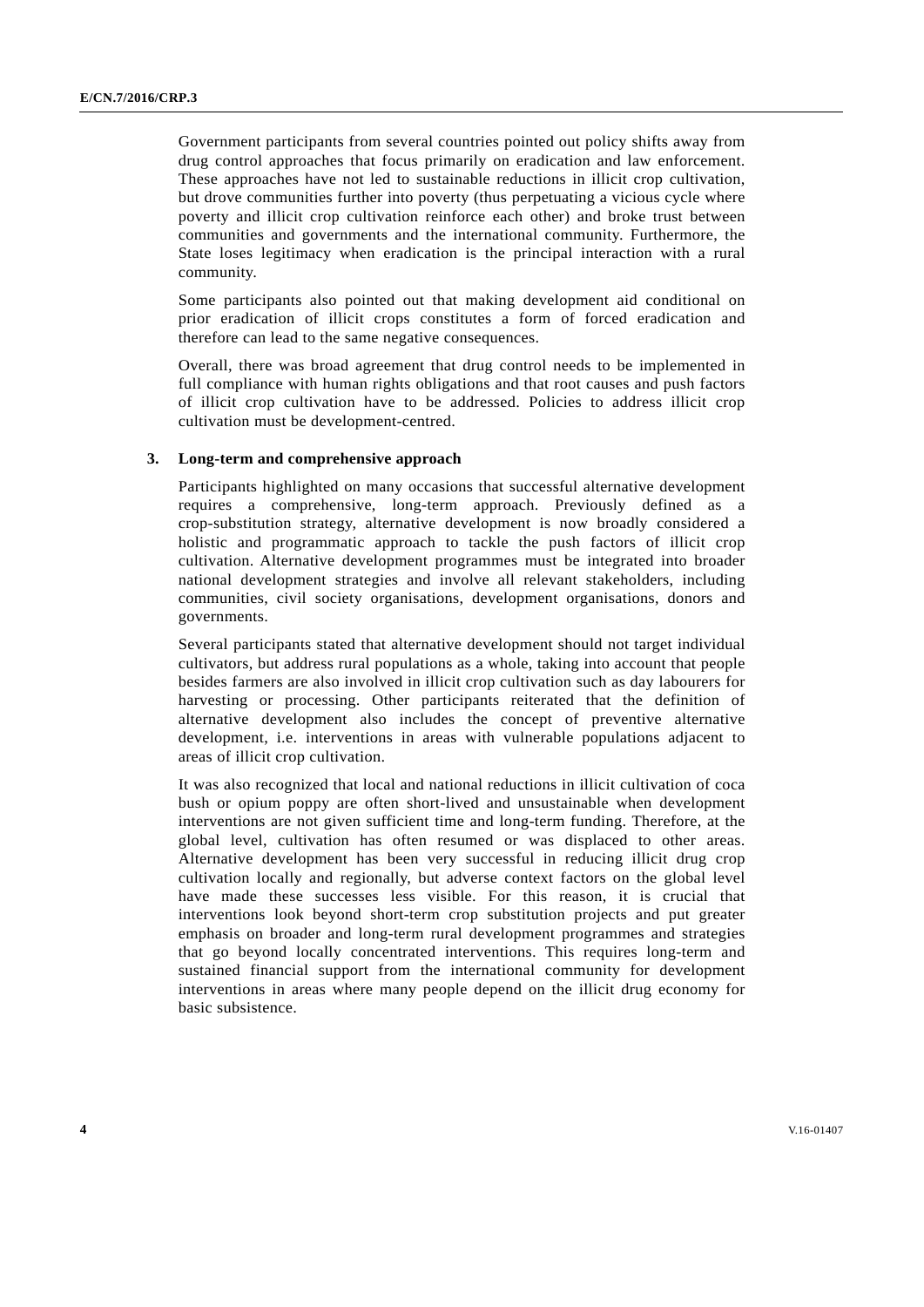Government participants from several countries pointed out policy shifts away from drug control approaches that focus primarily on eradication and law enforcement. These approaches have not led to sustainable reductions in illicit crop cultivation, but drove communities further into poverty (thus perpetuating a vicious cycle where poverty and illicit crop cultivation reinforce each other) and broke trust between communities and governments and the international community. Furthermore, the State loses legitimacy when eradication is the principal interaction with a rural community.

Some participants also pointed out that making development aid conditional on prior eradication of illicit crops constitutes a form of forced eradication and therefore can lead to the same negative consequences.

Overall, there was broad agreement that drug control needs to be implemented in full compliance with human rights obligations and that root causes and push factors of illicit crop cultivation have to be addressed. Policies to address illicit crop cultivation must be development-centred.

### **3. Long-term and comprehensive approach**

Participants highlighted on many occasions that successful alternative development requires a comprehensive, long-term approach. Previously defined as a crop-substitution strategy, alternative development is now broadly considered a holistic and programmatic approach to tackle the push factors of illicit crop cultivation. Alternative development programmes must be integrated into broader national development strategies and involve all relevant stakeholders, including communities, civil society organisations, development organisations, donors and governments.

Several participants stated that alternative development should not target individual cultivators, but address rural populations as a whole, taking into account that people besides farmers are also involved in illicit crop cultivation such as day labourers for harvesting or processing. Other participants reiterated that the definition of alternative development also includes the concept of preventive alternative development, i.e. interventions in areas with vulnerable populations adjacent to areas of illicit crop cultivation.

It was also recognized that local and national reductions in illicit cultivation of coca bush or opium poppy are often short-lived and unsustainable when development interventions are not given sufficient time and long-term funding. Therefore, at the global level, cultivation has often resumed or was displaced to other areas. Alternative development has been very successful in reducing illicit drug crop cultivation locally and regionally, but adverse context factors on the global level have made these successes less visible. For this reason, it is crucial that interventions look beyond short-term crop substitution projects and put greater emphasis on broader and long-term rural development programmes and strategies that go beyond locally concentrated interventions. This requires long-term and sustained financial support from the international community for development interventions in areas where many people depend on the illicit drug economy for basic subsistence.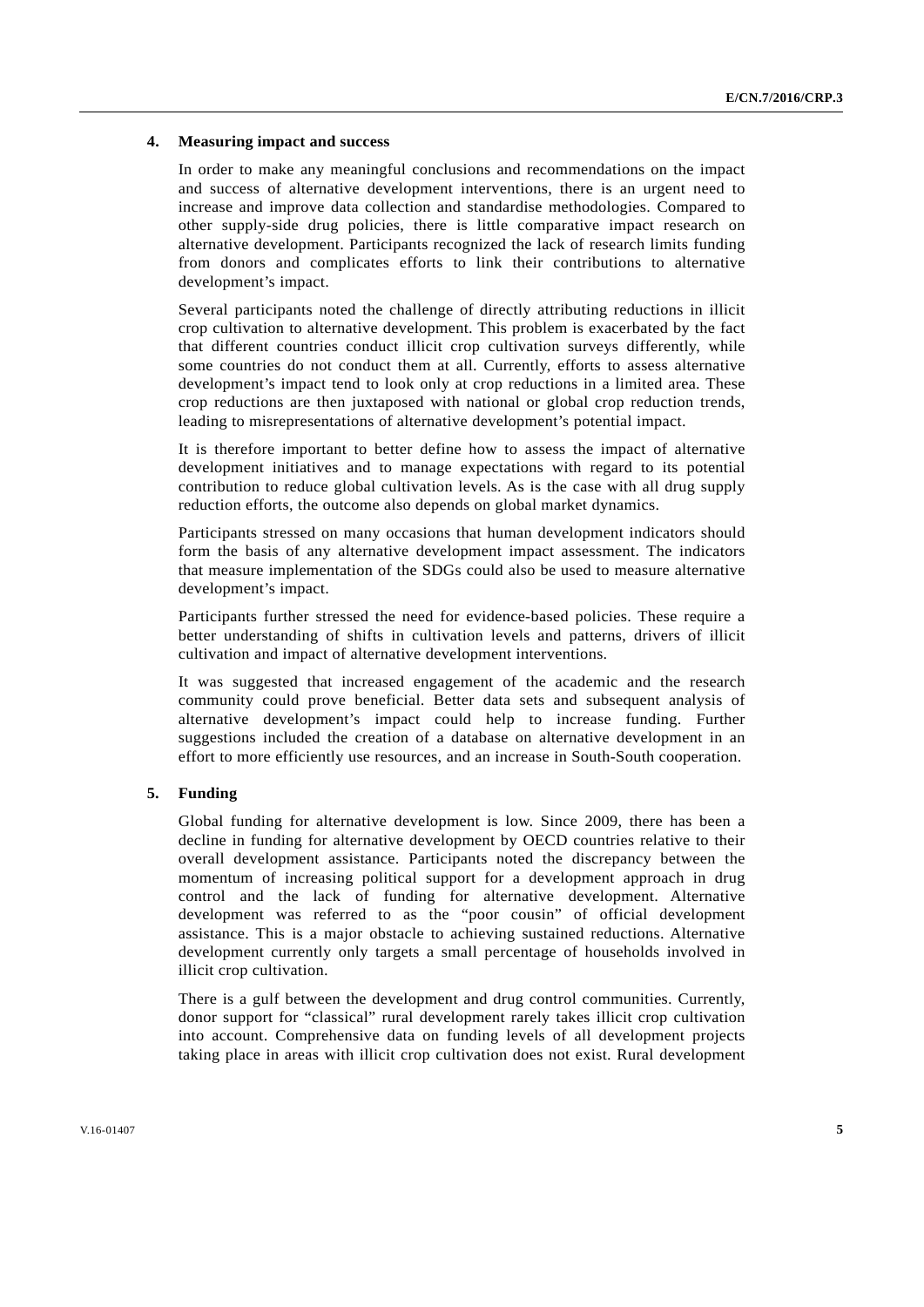### **4. Measuring impact and success**

In order to make any meaningful conclusions and recommendations on the impact and success of alternative development interventions, there is an urgent need to increase and improve data collection and standardise methodologies. Compared to other supply-side drug policies, there is little comparative impact research on alternative development. Participants recognized the lack of research limits funding from donors and complicates efforts to link their contributions to alternative development's impact.

Several participants noted the challenge of directly attributing reductions in illicit crop cultivation to alternative development. This problem is exacerbated by the fact that different countries conduct illicit crop cultivation surveys differently, while some countries do not conduct them at all. Currently, efforts to assess alternative development's impact tend to look only at crop reductions in a limited area. These crop reductions are then juxtaposed with national or global crop reduction trends, leading to misrepresentations of alternative development's potential impact.

It is therefore important to better define how to assess the impact of alternative development initiatives and to manage expectations with regard to its potential contribution to reduce global cultivation levels. As is the case with all drug supply reduction efforts, the outcome also depends on global market dynamics.

Participants stressed on many occasions that human development indicators should form the basis of any alternative development impact assessment. The indicators that measure implementation of the SDGs could also be used to measure alternative development's impact.

Participants further stressed the need for evidence-based policies. These require a better understanding of shifts in cultivation levels and patterns, drivers of illicit cultivation and impact of alternative development interventions.

It was suggested that increased engagement of the academic and the research community could prove beneficial. Better data sets and subsequent analysis of alternative development's impact could help to increase funding. Further suggestions included the creation of a database on alternative development in an effort to more efficiently use resources, and an increase in South-South cooperation.

## **5. Funding**

Global funding for alternative development is low. Since 2009, there has been a decline in funding for alternative development by OECD countries relative to their overall development assistance. Participants noted the discrepancy between the momentum of increasing political support for a development approach in drug control and the lack of funding for alternative development. Alternative development was referred to as the "poor cousin" of official development assistance. This is a major obstacle to achieving sustained reductions. Alternative development currently only targets a small percentage of households involved in illicit crop cultivation.

There is a gulf between the development and drug control communities. Currently, donor support for "classical" rural development rarely takes illicit crop cultivation into account. Comprehensive data on funding levels of all development projects taking place in areas with illicit crop cultivation does not exist. Rural development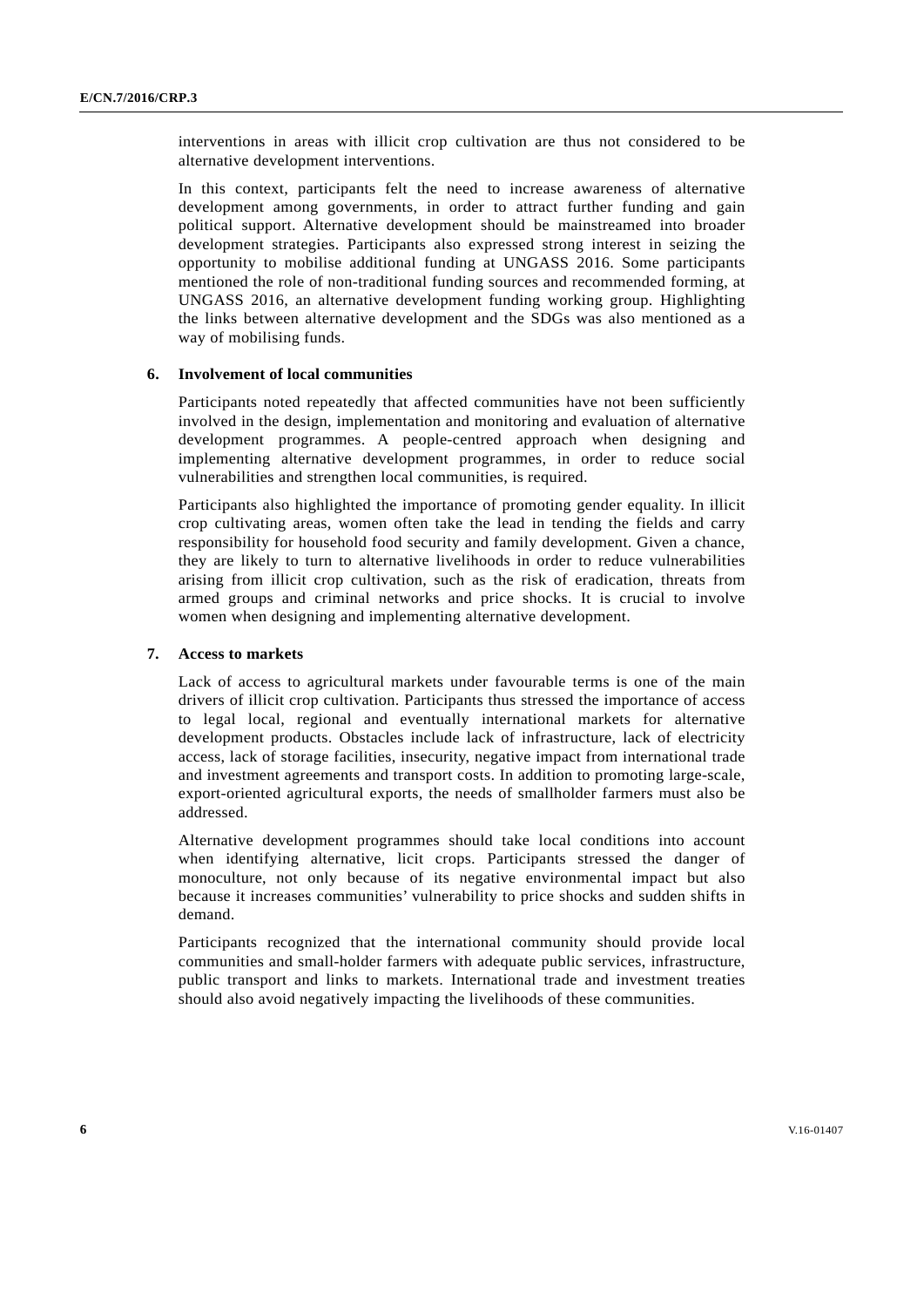interventions in areas with illicit crop cultivation are thus not considered to be alternative development interventions.

In this context, participants felt the need to increase awareness of alternative development among governments, in order to attract further funding and gain political support. Alternative development should be mainstreamed into broader development strategies. Participants also expressed strong interest in seizing the opportunity to mobilise additional funding at UNGASS 2016. Some participants mentioned the role of non-traditional funding sources and recommended forming, at UNGASS 2016, an alternative development funding working group. Highlighting the links between alternative development and the SDGs was also mentioned as a way of mobilising funds.

#### **6. Involvement of local communities**

Participants noted repeatedly that affected communities have not been sufficiently involved in the design, implementation and monitoring and evaluation of alternative development programmes. A people-centred approach when designing and implementing alternative development programmes, in order to reduce social vulnerabilities and strengthen local communities, is required.

Participants also highlighted the importance of promoting gender equality. In illicit crop cultivating areas, women often take the lead in tending the fields and carry responsibility for household food security and family development. Given a chance, they are likely to turn to alternative livelihoods in order to reduce vulnerabilities arising from illicit crop cultivation, such as the risk of eradication, threats from armed groups and criminal networks and price shocks. It is crucial to involve women when designing and implementing alternative development.

## **7. Access to markets**

Lack of access to agricultural markets under favourable terms is one of the main drivers of illicit crop cultivation. Participants thus stressed the importance of access to legal local, regional and eventually international markets for alternative development products. Obstacles include lack of infrastructure, lack of electricity access, lack of storage facilities, insecurity, negative impact from international trade and investment agreements and transport costs. In addition to promoting large-scale, export-oriented agricultural exports, the needs of smallholder farmers must also be addressed.

Alternative development programmes should take local conditions into account when identifying alternative, licit crops. Participants stressed the danger of monoculture, not only because of its negative environmental impact but also because it increases communities' vulnerability to price shocks and sudden shifts in demand.

Participants recognized that the international community should provide local communities and small-holder farmers with adequate public services, infrastructure, public transport and links to markets. International trade and investment treaties should also avoid negatively impacting the livelihoods of these communities.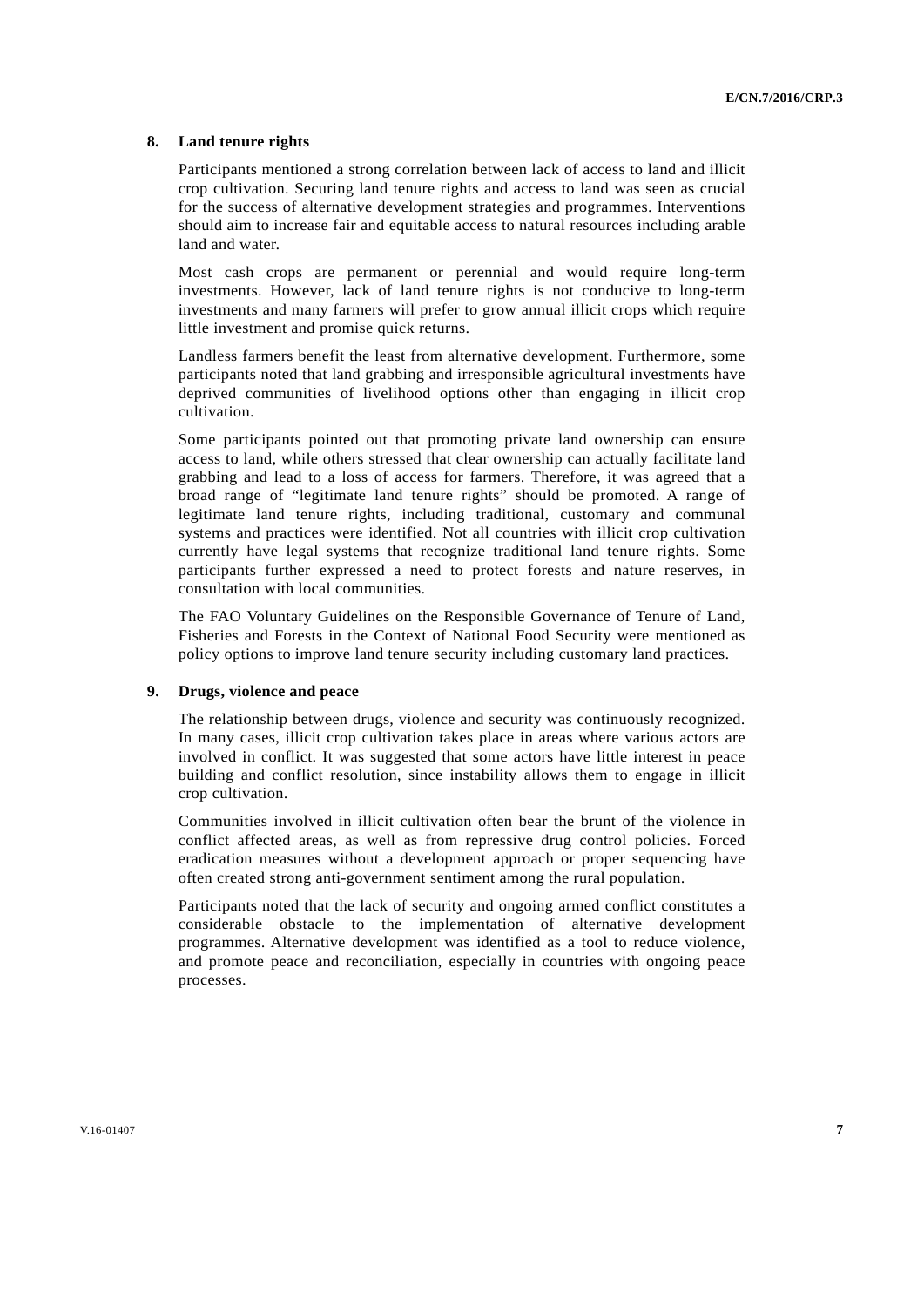## **8. Land tenure rights**

Participants mentioned a strong correlation between lack of access to land and illicit crop cultivation. Securing land tenure rights and access to land was seen as crucial for the success of alternative development strategies and programmes. Interventions should aim to increase fair and equitable access to natural resources including arable land and water.

Most cash crops are permanent or perennial and would require long-term investments. However, lack of land tenure rights is not conducive to long-term investments and many farmers will prefer to grow annual illicit crops which require little investment and promise quick returns.

Landless farmers benefit the least from alternative development. Furthermore, some participants noted that land grabbing and irresponsible agricultural investments have deprived communities of livelihood options other than engaging in illicit crop cultivation.

Some participants pointed out that promoting private land ownership can ensure access to land, while others stressed that clear ownership can actually facilitate land grabbing and lead to a loss of access for farmers. Therefore, it was agreed that a broad range of "legitimate land tenure rights" should be promoted. A range of legitimate land tenure rights, including traditional, customary and communal systems and practices were identified. Not all countries with illicit crop cultivation currently have legal systems that recognize traditional land tenure rights. Some participants further expressed a need to protect forests and nature reserves, in consultation with local communities.

The FAO Voluntary Guidelines on the Responsible Governance of Tenure of Land, Fisheries and Forests in the Context of National Food Security were mentioned as policy options to improve land tenure security including customary land practices.

## **9. Drugs, violence and peace**

The relationship between drugs, violence and security was continuously recognized. In many cases, illicit crop cultivation takes place in areas where various actors are involved in conflict. It was suggested that some actors have little interest in peace building and conflict resolution, since instability allows them to engage in illicit crop cultivation.

Communities involved in illicit cultivation often bear the brunt of the violence in conflict affected areas, as well as from repressive drug control policies. Forced eradication measures without a development approach or proper sequencing have often created strong anti-government sentiment among the rural population.

Participants noted that the lack of security and ongoing armed conflict constitutes a considerable obstacle to the implementation of alternative development programmes. Alternative development was identified as a tool to reduce violence, and promote peace and reconciliation, especially in countries with ongoing peace processes.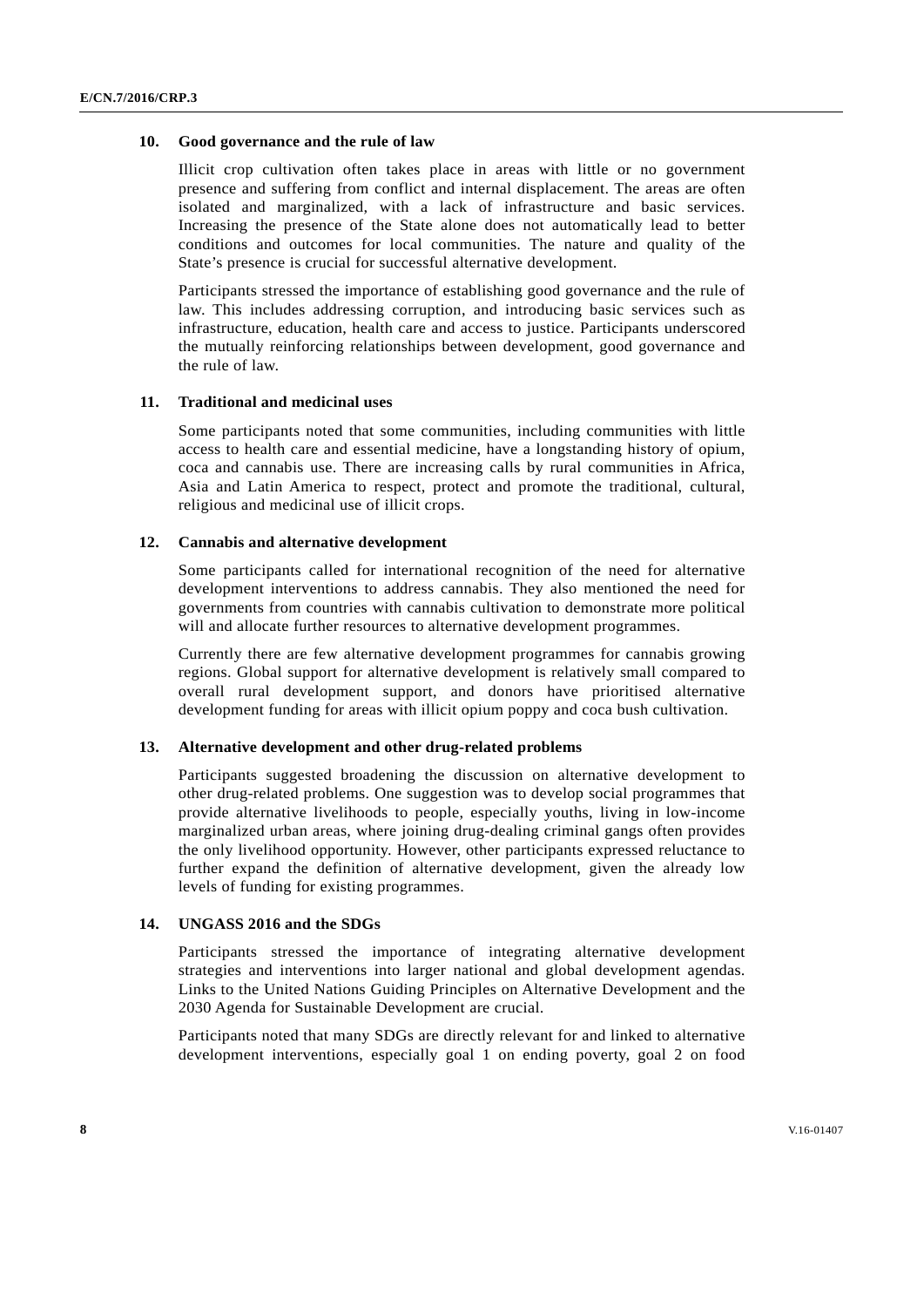#### **10. Good governance and the rule of law**

Illicit crop cultivation often takes place in areas with little or no government presence and suffering from conflict and internal displacement. The areas are often isolated and marginalized, with a lack of infrastructure and basic services. Increasing the presence of the State alone does not automatically lead to better conditions and outcomes for local communities. The nature and quality of the State's presence is crucial for successful alternative development.

Participants stressed the importance of establishing good governance and the rule of law. This includes addressing corruption, and introducing basic services such as infrastructure, education, health care and access to justice. Participants underscored the mutually reinforcing relationships between development, good governance and the rule of law.

## **11. Traditional and medicinal uses**

Some participants noted that some communities, including communities with little access to health care and essential medicine, have a longstanding history of opium, coca and cannabis use. There are increasing calls by rural communities in Africa, Asia and Latin America to respect, protect and promote the traditional, cultural, religious and medicinal use of illicit crops.

## **12. Cannabis and alternative development**

Some participants called for international recognition of the need for alternative development interventions to address cannabis. They also mentioned the need for governments from countries with cannabis cultivation to demonstrate more political will and allocate further resources to alternative development programmes.

Currently there are few alternative development programmes for cannabis growing regions. Global support for alternative development is relatively small compared to overall rural development support, and donors have prioritised alternative development funding for areas with illicit opium poppy and coca bush cultivation.

# **13. Alternative development and other drug-related problems**

Participants suggested broadening the discussion on alternative development to other drug-related problems. One suggestion was to develop social programmes that provide alternative livelihoods to people, especially youths, living in low-income marginalized urban areas, where joining drug-dealing criminal gangs often provides the only livelihood opportunity. However, other participants expressed reluctance to further expand the definition of alternative development, given the already low levels of funding for existing programmes.

## **14. UNGASS 2016 and the SDGs**

Participants stressed the importance of integrating alternative development strategies and interventions into larger national and global development agendas. Links to the United Nations Guiding Principles on Alternative Development and the 2030 Agenda for Sustainable Development are crucial.

Participants noted that many SDGs are directly relevant for and linked to alternative development interventions, especially goal 1 on ending poverty, goal 2 on food